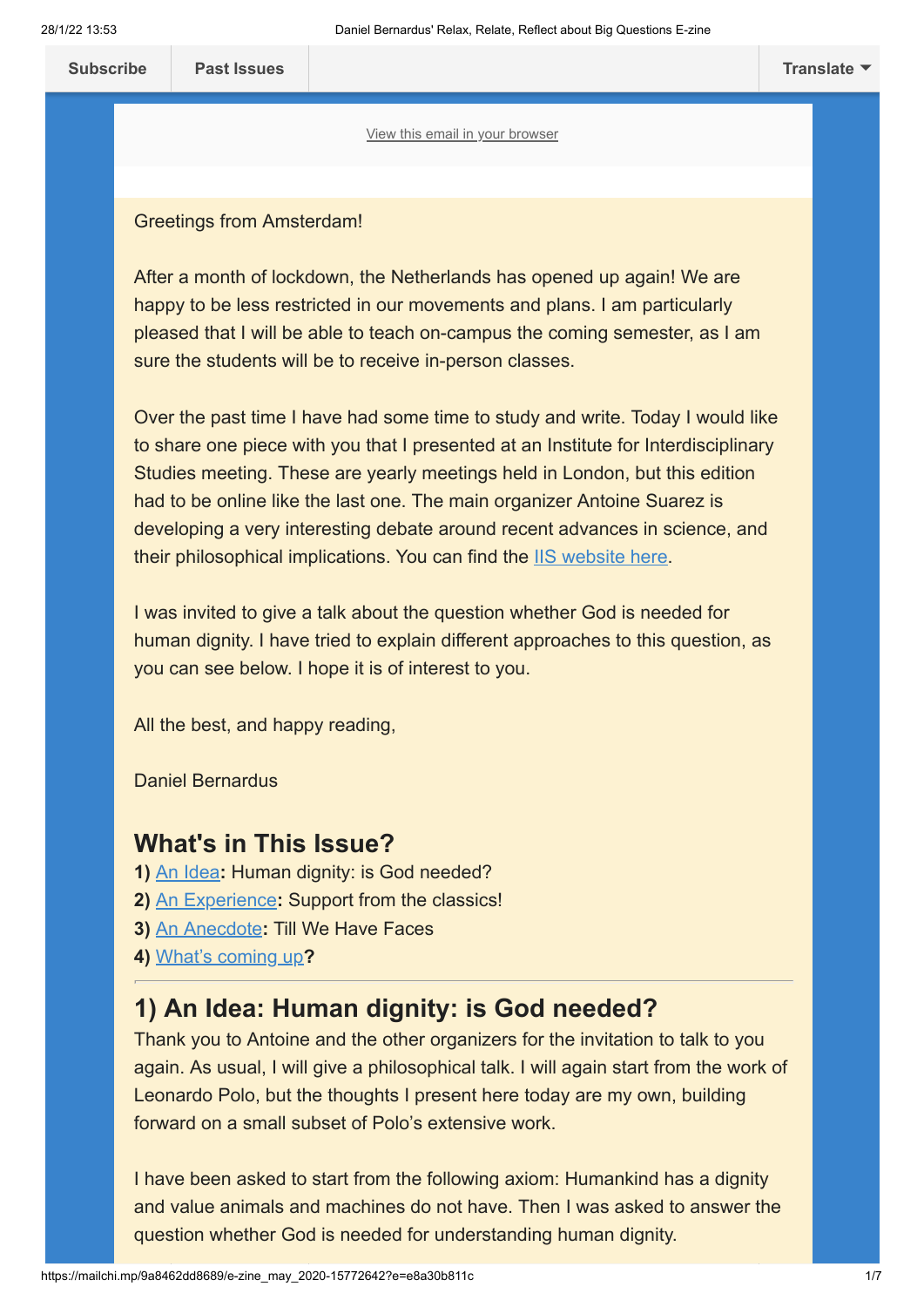[View this email in your browser](https://mailchi.mp/9a8462dd8689/e-zine_may_2020-15772642?e=e8a30b811c)

#### Greetings from Amsterdam!

After a month of lockdown, the Netherlands has opened up again! We are happy to be less restricted in our movements and plans. I am particularly pleased that I will be able to teach on-campus the coming semester, as I am sure the students will be to receive in-person classes.

Over the past time I have had some time to study and write. Today I would like to share one piece with you that I presented at an Institute for Interdisciplinary Studies meeting. These are yearly meetings held in London, but this edition had to be online like the last one. The main organizer Antoine Suarez is developing a very interesting debate around recent advances in science, and their philosophical implications. You can find the [IIS website here](https://iis-edu.org/).

I was invited to give a talk about the question whether God is needed for human dignity. I have tried to explain different approaches to this question, as you can see below. I hope it is of interest to you.

All the best, and happy reading,

Daniel Bernardus

# **What's in This Issue?**

- **1)** [An Idea](#page-0-0)**:** Human dignity: is God needed?
- **2)** [An Experience](#page-4-0)**:** Support from the classics!
- **3)** [An Anecdote](#page-5-0)**:** Till We Have Faces
- **4)** [What's coming up](#page-5-1)**?**

# <span id="page-0-0"></span>**1) An Idea: Human dignity: is God needed?**

Thank you to Antoine and the other organizers for the invitation to talk to you again. As usual, I will give a philosophical talk. I will again start from the work of Leonardo Polo, but the thoughts I present here today are my own, building forward on a small subset of Polo's extensive work.

I have been asked to start from the following axiom: Humankind has a dignity and value animals and machines do not have. Then I was asked to answer the question whether God is needed for understanding human dignity.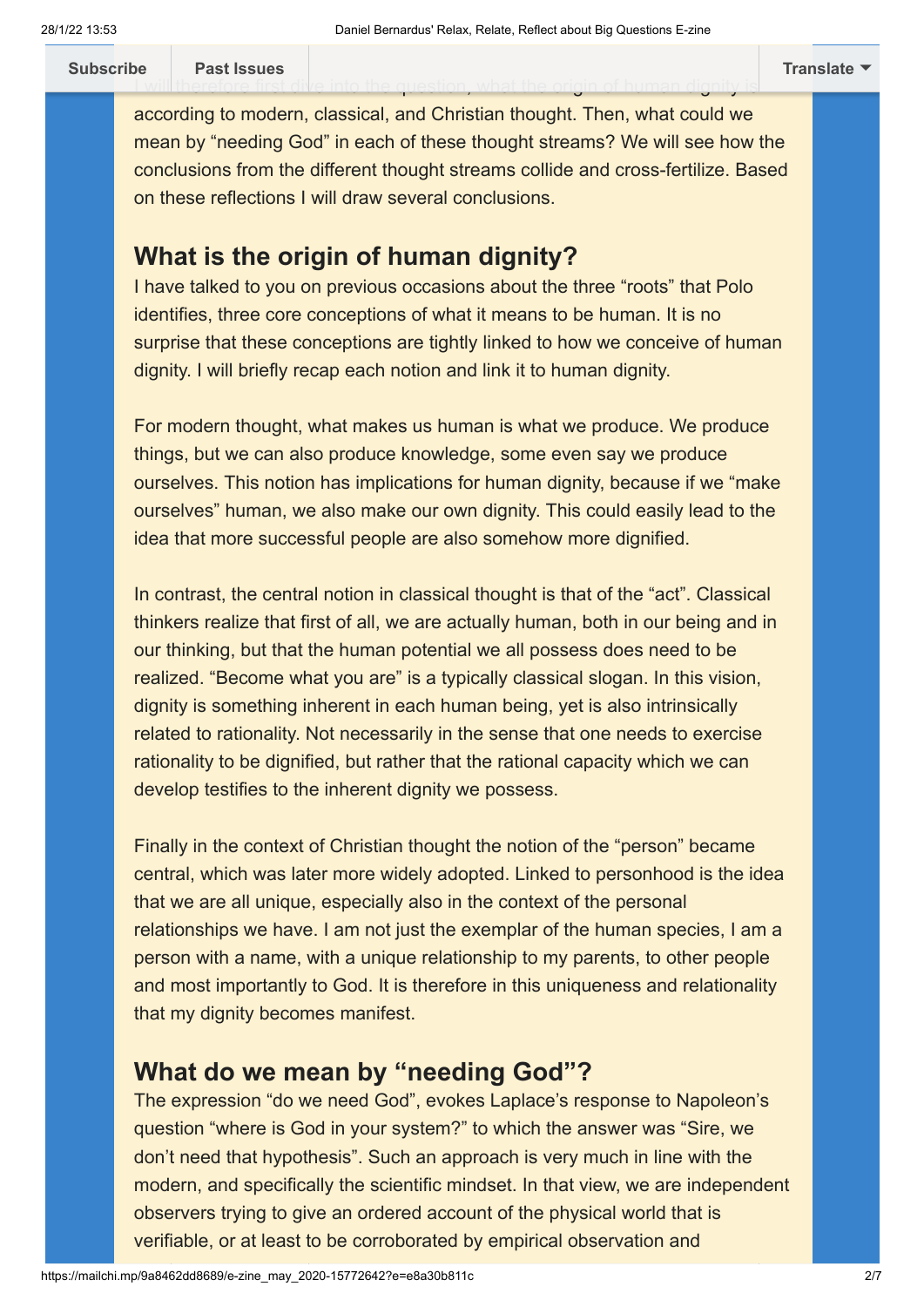according to modern, classical, and Christian thought. Then, what could we mean by "needing God" in each of these thought streams? We will see how the conclusions from the different thought streams collide and cross-fertilize. Based on these reflections I will draw several conclusions.

<u>I will [therefore first div](https://us20.campaign-archive.com/home/?u=9988ab3df303698d4985a5435&id=ae113c9d37)e into the question, what the origin of human dignity is</u>

## **What is the origin of human dignity?**

I have talked to you on previous occasions about the three "roots" that Polo identifies, three core conceptions of what it means to be human. It is no surprise that these conceptions are tightly linked to how we conceive of human dignity. I will briefly recap each notion and link it to human dignity.

For modern thought, what makes us human is what we produce. We produce things, but we can also produce knowledge, some even say we produce ourselves. This notion has implications for human dignity, because if we "make ourselves" human, we also make our own dignity. This could easily lead to the idea that more successful people are also somehow more dignified.

In contrast, the central notion in classical thought is that of the "act". Classical thinkers realize that first of all, we are actually human, both in our being and in our thinking, but that the human potential we all possess does need to be realized. "Become what you are" is a typically classical slogan. In this vision, dignity is something inherent in each human being, yet is also intrinsically related to rationality. Not necessarily in the sense that one needs to exercise rationality to be dignified, but rather that the rational capacity which we can develop testifies to the inherent dignity we possess.

Finally in the context of Christian thought the notion of the "person" became central, which was later more widely adopted. Linked to personhood is the idea that we are all unique, especially also in the context of the personal relationships we have. I am not just the exemplar of the human species, I am a person with a name, with a unique relationship to my parents, to other people and most importantly to God. It is therefore in this uniqueness and relationality that my dignity becomes manifest.

# **What do we mean by "needing God"?**

The expression "do we need God", evokes Laplace's response to Napoleon's question "where is God in your system?" to which the answer was "Sire, we don't need that hypothesis". Such an approach is very much in line with the modern, and specifically the scientific mindset. In that view, we are independent observers trying to give an ordered account of the physical world that is verifiable, or at least to be corroborated by empirical observation and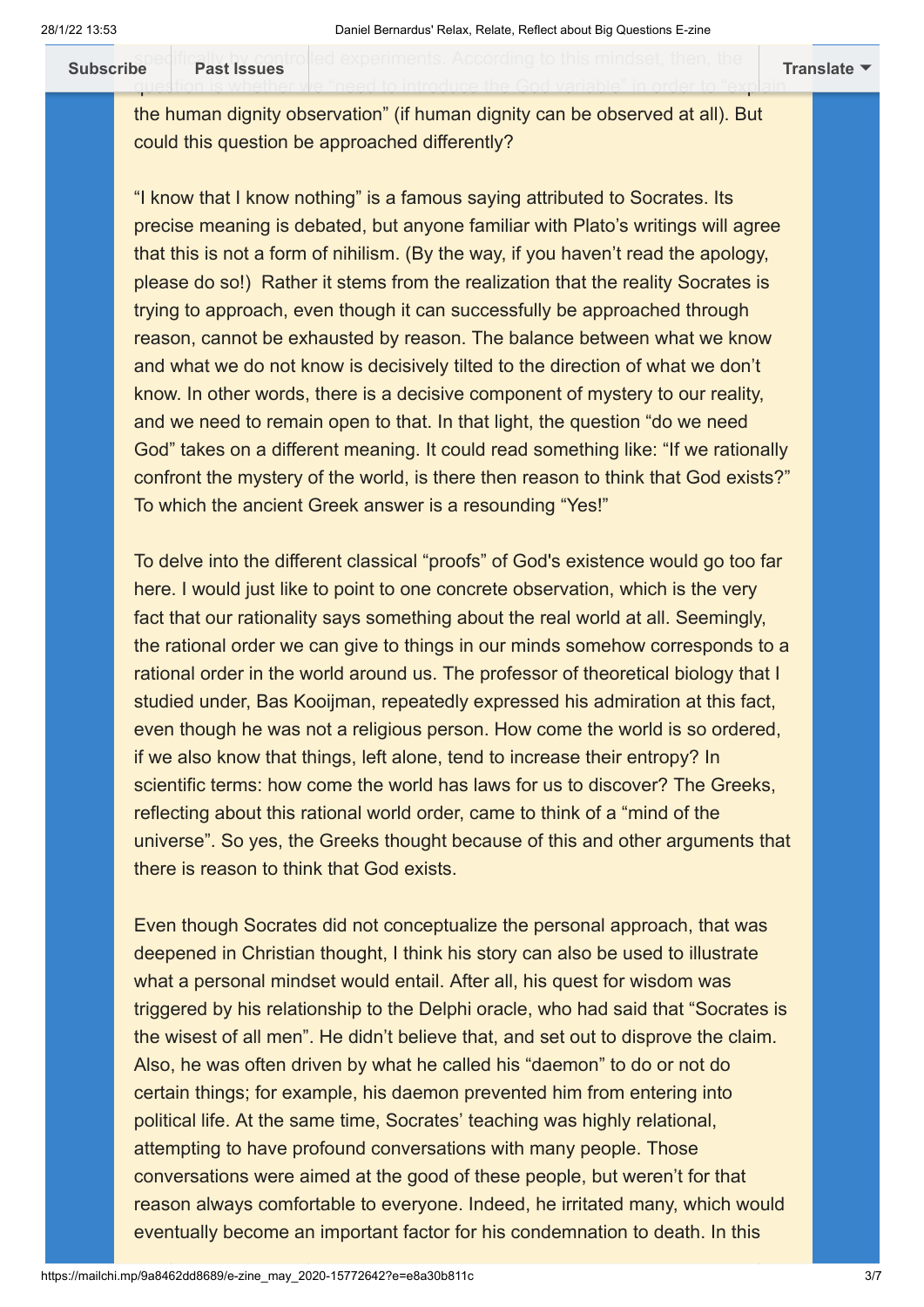spe[cifically by control](https://us20.campaign-archive.com/home/?u=9988ab3df303698d4985a5435&id=ae113c9d37)led experiments. According to this mindset, then, the question is whether we "need to introduce the God variable" in order to "explain **[Subscribe](http://eepurl.com/g9rItf) Past Issues [Translate](javascript:;)**

the human dignity observation" (if human dignity can be observed at all). But could this question be approached differently?

"I know that I know nothing" is a famous saying attributed to Socrates. Its precise meaning is debated, but anyone familiar with Plato's writings will agree that this is not a form of nihilism. (By the way, if you haven't read the apology, please do so!) Rather it stems from the realization that the reality Socrates is trying to approach, even though it can successfully be approached through reason, cannot be exhausted by reason. The balance between what we know and what we do not know is decisively tilted to the direction of what we don't know. In other words, there is a decisive component of mystery to our reality, and we need to remain open to that. In that light, the question "do we need God" takes on a different meaning. It could read something like: "If we rationally confront the mystery of the world, is there then reason to think that God exists?" To which the ancient Greek answer is a resounding "Yes!"

To delve into the different classical "proofs" of God's existence would go too far here. I would just like to point to one concrete observation, which is the very fact that our rationality says something about the real world at all. Seemingly, the rational order we can give to things in our minds somehow corresponds to a rational order in the world around us. The professor of theoretical biology that I studied under, Bas Kooijman, repeatedly expressed his admiration at this fact, even though he was not a religious person. How come the world is so ordered, if we also know that things, left alone, tend to increase their entropy? In scientific terms: how come the world has laws for us to discover? The Greeks, reflecting about this rational world order, came to think of a "mind of the universe". So yes, the Greeks thought because of this and other arguments that there is reason to think that God exists.

Even though Socrates did not conceptualize the personal approach, that was deepened in Christian thought, I think his story can also be used to illustrate what a personal mindset would entail. After all, his quest for wisdom was triggered by his relationship to the Delphi oracle, who had said that "Socrates is the wisest of all men". He didn't believe that, and set out to disprove the claim. Also, he was often driven by what he called his "daemon" to do or not do certain things; for example, his daemon prevented him from entering into political life. At the same time, Socrates' teaching was highly relational, attempting to have profound conversations with many people. Those conversations were aimed at the good of these people, but weren't for that reason always comfortable to everyone. Indeed, he irritated many, which would eventually become an important factor for his condemnation to death. In this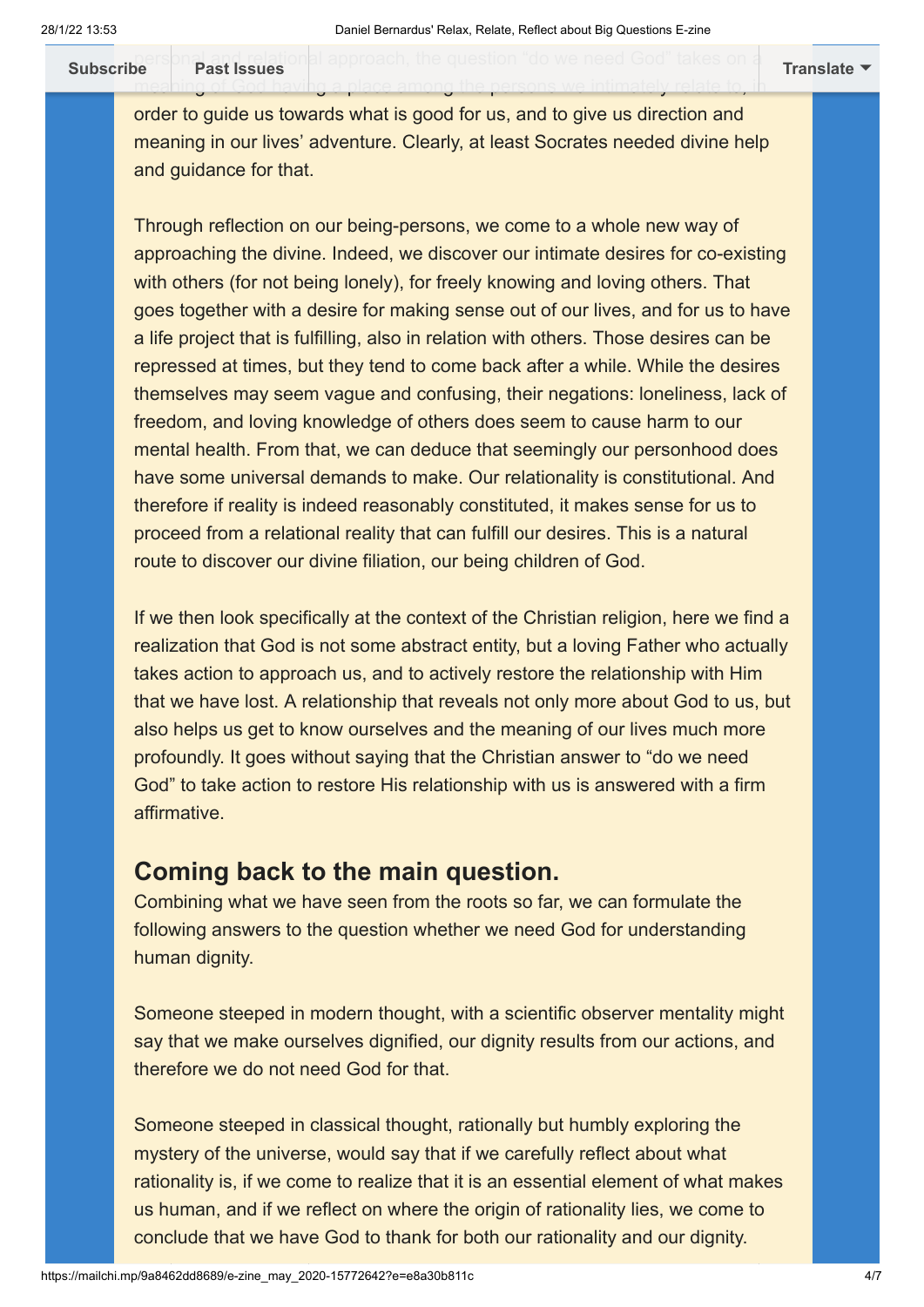**[Subscribe](http://eepurl.com/g9rItf) Past Issues [Translate](javascript:;)**

order to guide us towards what is good for us, and to give us direction and meaning in our lives' adventure. Clearly, at least Socrates needed divine help and guidance for that.

meaning of God having a place among the persons we intimately relate to, in

Through reflection on our being-persons, we come to a whole new way of approaching the divine. Indeed, we discover our intimate desires for co-existing with others (for not being lonely), for freely knowing and loving others. That goes together with a desire for making sense out of our lives, and for us to have a life project that is fulfilling, also in relation with others. Those desires can be repressed at times, but they tend to come back after a while. While the desires themselves may seem vague and confusing, their negations: loneliness, lack of freedom, and loving knowledge of others does seem to cause harm to our mental health. From that, we can deduce that seemingly our personhood does have some universal demands to make. Our relationality is constitutional. And therefore if reality is indeed reasonably constituted, it makes sense for us to proceed from a relational reality that can fulfill our desires. This is a natural route to discover our divine filiation, our being children of God.

If we then look specifically at the context of the Christian religion, here we find a realization that God is not some abstract entity, but a loving Father who actually takes action to approach us, and to actively restore the relationship with Him that we have lost. A relationship that reveals not only more about God to us, but also helps us get to know ourselves and the meaning of our lives much more profoundly. It goes without saying that the Christian answer to "do we need God" to take action to restore His relationship with us is answered with a firm affirmative.

### **Coming back to the main question.**

Combining what we have seen from the roots so far, we can formulate the following answers to the question whether we need God for understanding human dignity.

Someone steeped in modern thought, with a scientific observer mentality might say that we make ourselves dignified, our dignity results from our actions, and therefore we do not need God for that.

Someone steeped in classical thought, rationally but humbly exploring the mystery of the universe, would say that if we carefully reflect about what rationality is, if we come to realize that it is an essential element of what makes us human, and if we reflect on where the origin of rationality lies, we come to conclude that we have God to thank for both our rationality and our dignity.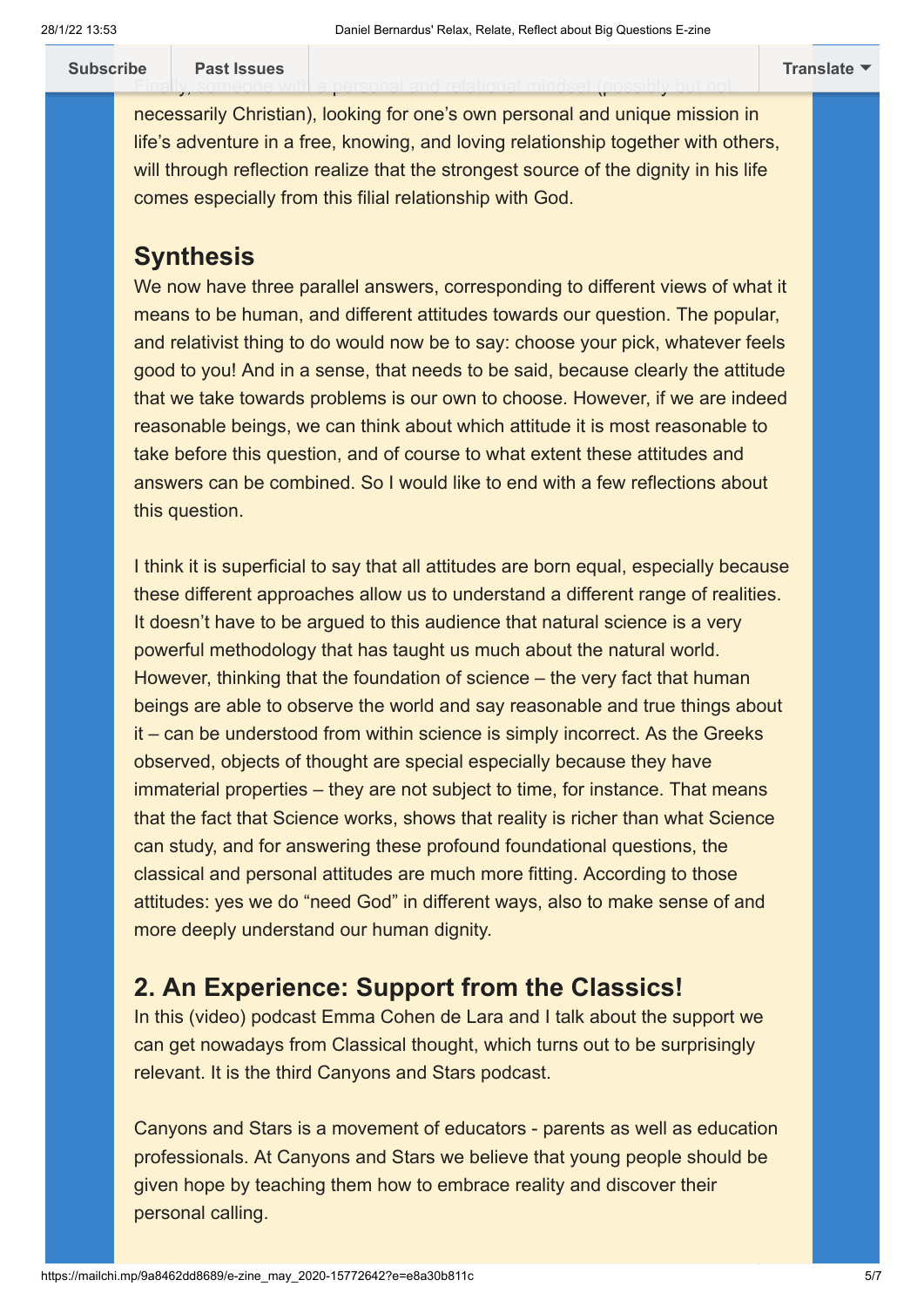**[Subscribe](http://eepurl.com/g9rItf) Past Issues [Translate](javascript:;)**

necessarily Christian), looking for one's own personal and unique mission in life's adventure in a free, knowing, and loving relationship together with others, will through reflection realize that the strongest source of the dignity in his life comes especially from this filial relationship with God.

Fina[lly, someone with](https://us20.campaign-archive.com/home/?u=9988ab3df303698d4985a5435&id=ae113c9d37) a personal and relational mindset (possibly but not

# **Synthesis**

We now have three parallel answers, corresponding to different views of what it means to be human, and different attitudes towards our question. The popular, and relativist thing to do would now be to say: choose your pick, whatever feels good to you! And in a sense, that needs to be said, because clearly the attitude that we take towards problems is our own to choose. However, if we are indeed reasonable beings, we can think about which attitude it is most reasonable to take before this question, and of course to what extent these attitudes and answers can be combined. So I would like to end with a few reflections about this question.

I think it is superficial to say that all attitudes are born equal, especially because these different approaches allow us to understand a different range of realities. It doesn't have to be argued to this audience that natural science is a very powerful methodology that has taught us much about the natural world. However, thinking that the foundation of science – the very fact that human beings are able to observe the world and say reasonable and true things about it – can be understood from within science is simply incorrect. As the Greeks observed, objects of thought are special especially because they have immaterial properties – they are not subject to time, for instance. That means that the fact that Science works, shows that reality is richer than what Science can study, and for answering these profound foundational questions, the classical and personal attitudes are much more fitting. According to those attitudes: yes we do "need God" in different ways, also to make sense of and more deeply understand our human dignity.

# <span id="page-4-0"></span>**2. An Experience: Support from the Classics!**

In this (video) podcast Emma Cohen de Lara and I talk about the support we can get nowadays from Classical thought, which turns out to be surprisingly relevant. It is the third Canyons and Stars podcast.

Canyons and Stars is a movement of educators - parents as well as education professionals. At Canyons and Stars we believe that young people should be given hope by teaching them how to embrace reality and discover their personal calling.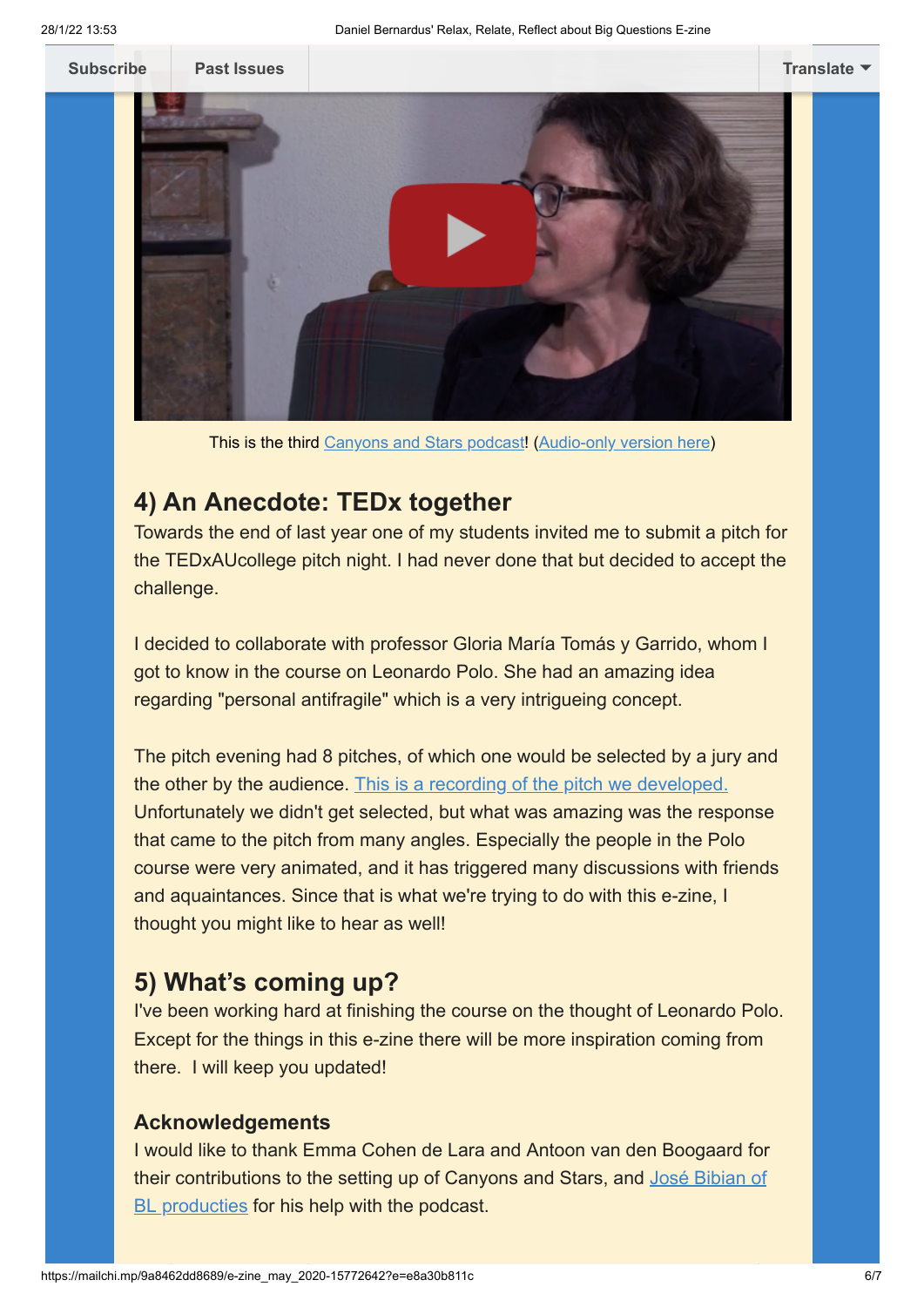

This is the third [Canyons and Stars podcast](https://www.youtube.com/watch?v=XSLrCGwDCU8)! [\(Audio-only version here](https://canyonsandstars.podbean.com/e/podcast-3-support-from-the-classics-freedom-in-quarantine/))

# <span id="page-5-0"></span>**4) An Anecdote: TEDx together**

Towards the end of last year one of my students invited me to submit a pitch for the TEDxAUcollege pitch night. I had never done that but decided to accept the challenge.

I decided to collaborate with professor Gloria María Tomás y Garrido, whom I got to know in the course on Leonardo Polo. She had an amazing idea regarding "personal antifragile" which is a very intrigueing concept.

The pitch evening had 8 pitches, of which one would be selected by a jury and the other by the audience. [This is a recording of the pitch we developed.](https://www.youtube.com/watch?v=H7T-rUQ2_JM) Unfortunately we didn't get selected, but what was amazing was the response that came to the pitch from many angles. Especially the people in the Polo course were very animated, and it has triggered many discussions with friends and aquaintances. Since that is what we're trying to do with this e-zine, I thought you might like to hear as well!

# <span id="page-5-1"></span>**5) What's coming up?**

I've been working hard at finishing the course on the thought of Leonardo Polo. Except for the things in this e-zine there will be more inspiration coming from there. I will keep you updated!

# **Acknowledgements**

I would like to thank Emma Cohen de Lara and Antoon van den Boogaard for [their contributions to the setting up of Canyons and Stars, and José Bibian of](http://www.blproducties.nl/) BL producties for his help with the podcast.